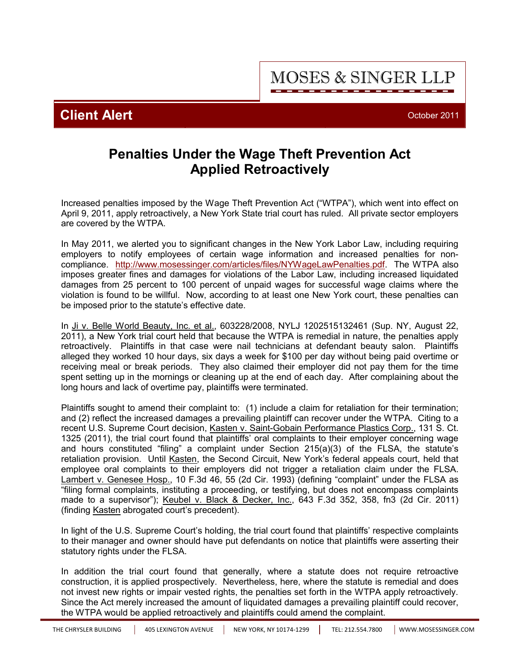THE CHRYSLER BUILDING | 405 LEXINGTON AVENUE | NEW YORK, NY 10174-1299 | TEL: 212.554.7800 | <WWW.MOSESSINGER.COM>

## **Penalties Under the Wage Theft Prevention Act Applied Retroactively**

Increased penalties imposed by the Wage Theft Prevention Act ("WTPA"), which went into effect on April 9, 2011, apply retroactively, a New York State trial court has ruled. All private sector employers are covered by the WTPA.

In May 2011, we alerted you to significant changes in the New York Labor Law, including requiring employers to notify employees of certain wage information and increased penalties for noncompliance. [http://](http://www.mosessinger.com/articles/files/NYWageLawPenalties.pdf)<www.mosessinger.com/articles/files/NYWageLawPenalties.pdf>. The WTPA also imposes greater fines and damages for violations of the Labor Law, including increased liquidated damages from 25 percent to 100 percent of unpaid wages for successful wage claims where the violation is found to be willful. Now, according to at least one New York court, these penalties can be imposed prior to the statute's effective date.

In Ji v. Belle World Beauty, Inc. et al., 603228/2008, NYLJ 1202515132461 (Sup. NY, August 22, 2011), a New York trial court held that because the WTPA is remedial in nature, the penalties apply retroactively. Plaintiffs in that case were nail technicians at defendant beauty salon. Plaintiffs alleged they worked 10 hour days, six days a week for \$100 per day without being paid overtime or receiving meal or break periods. They also claimed their employer did not pay them for the time spent setting up in the mornings or cleaning up at the end of each day. After complaining about the long hours and lack of overtime pay, plaintiffs were terminated.

Plaintiffs sought to amend their complaint to: (1) include a claim for retaliation for their termination; and (2) reflect the increased damages a prevailing plaintiff can recover under the WTPA. Citing to a recent U.S. Supreme Court decision, Kasten v. Saint-Gobain Performance Plastics Corp., 131 S. Ct. 1325 (2011), the trial court found that plaintiffs' oral complaints to their employer concerning wage and hours constituted "filing" a complaint under Section 215(a)(3) of the FLSA, the statute's retaliation provision. Until Kasten, the Second Circuit, New York's federal appeals court, held that employee oral complaints to their employers did not trigger a retaliation claim under the FLSA. Lambert v. Genesee Hosp., 10 F.3d 46, 55 (2d Cir. 1993) (defining "complaint" under the FLSA as "filing formal complaints, instituting a proceeding, or testifying, but does not encompass complaints made to a supervisor"); Keubel v. Black & Decker, Inc., 643 F.3d 352, 358, fn3 (2d Cir. 2011) (finding Kasten abrogated court's precedent).

In light of the U.S. Supreme Court's holding, the trial court found that plaintiffs' respective complaints to their manager and owner should have put defendants on notice that plaintiffs were asserting their statutory rights under the FLSA.

In addition the trial court found that generally, where a statute does not require retroactive construction, it is applied prospectively. Nevertheless, here, where the statute is remedial and does not invest new rights or impair vested rights, the penalties set forth in the WTPA apply retroactively. Since the Act merely increased the amount of liquidated damages a prevailing plaintiff could recover, the WTPA would be applied retroactively and plaintiffs could amend the complaint.

**MOSES & SINGER LLP**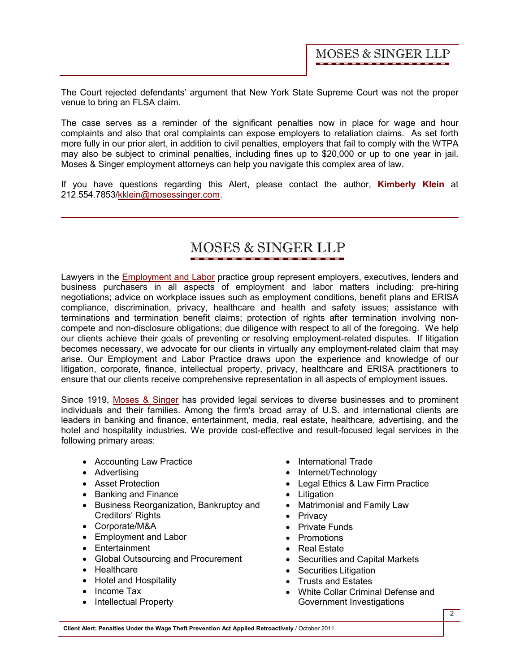The Court rejected defendants' argument that New York State Supreme Court was not the proper venue to bring an FLSA claim.

The case serves as a reminder of the significant penalties now in place for wage and hour complaints and also that oral complaints can expose employers to retaliation claims. As set forth more fully in our prior alert, in addition to civil penalties, employers that fail to comply with the WTPA may also be subject to criminal penalties, including fines up to \$20,000 or up to one year in jail. Moses & Singer employment attorneys can help you navigate this complex area of law.

If you have questions regarding this Alert, please contact the author, **[Kimberly Klein](http://www.mosessinger.com/personnel/kklein/)** at 212.554.7853/kklein@mosessinger.com.

## **MOSES & SINGER LLP**

Lawyers in the [Employment and Labor](http://www.mosessinger.com/EmploymentandLabor/) practice group represent employers, executives, lenders and business purchasers in all aspects of employment and labor matters including: pre-hiring negotiations; advice on workplace issues such as employment conditions, benefit plans and ERISA compliance, discrimination, privacy, healthcare and health and safety issues; assistance with terminations and termination benefit claims; protection of rights after termination involving noncompete and non-disclosure obligations; due diligence with respect to all of the foregoing. We help our clients achieve their goals of preventing or resolving employment-related disputes. If litigation becomes necessary, we advocate for our clients in virtually any employment-related claim that may arise. Our Employment and Labor Practice draws upon the experience and knowledge of our litigation, corporate, finance, intellectual property, privacy, healthcare and ERISA practitioners to ensure that our clients receive comprehensive representation in all aspects of employment issues.

Since 1919, [Moses & Singer](http://www.mosessinger.com/firm_profile/firm_description.php) has provided legal services to diverse businesses and to prominent individuals and their families. Among the firm's broad array of U.S. and international clients are leaders in banking and finance, entertainment, media, real estate, healthcare, advertising, and the hotel and hospitality industries. We provide cost-effective and result-focused legal services in the following primary areas:

- Accounting Law Practice
- Advertising
- · Asset Protection
- · Banking and Finance
- · Business Reorganization, Bankruptcy and Creditors' Rights
- · Corporate/M&A
- · Employment and Labor
- · Entertainment
- · Global Outsourcing and Procurement
- · Healthcare
- · Hotel and Hospitality
- Income Tax
- Intellectual Property
- · International Trade
- Internet/Technology
- · Legal Ethics & Law Firm Practice
- · Litigation
- · Matrimonial and Family Law
- Privacy
- · Private Funds
- · Promotions
- · Real Estate
- · Securities and Capital Markets
- Securities Litigation
- · Trusts and Estates
- · White Collar Criminal Defense and Government Investigations